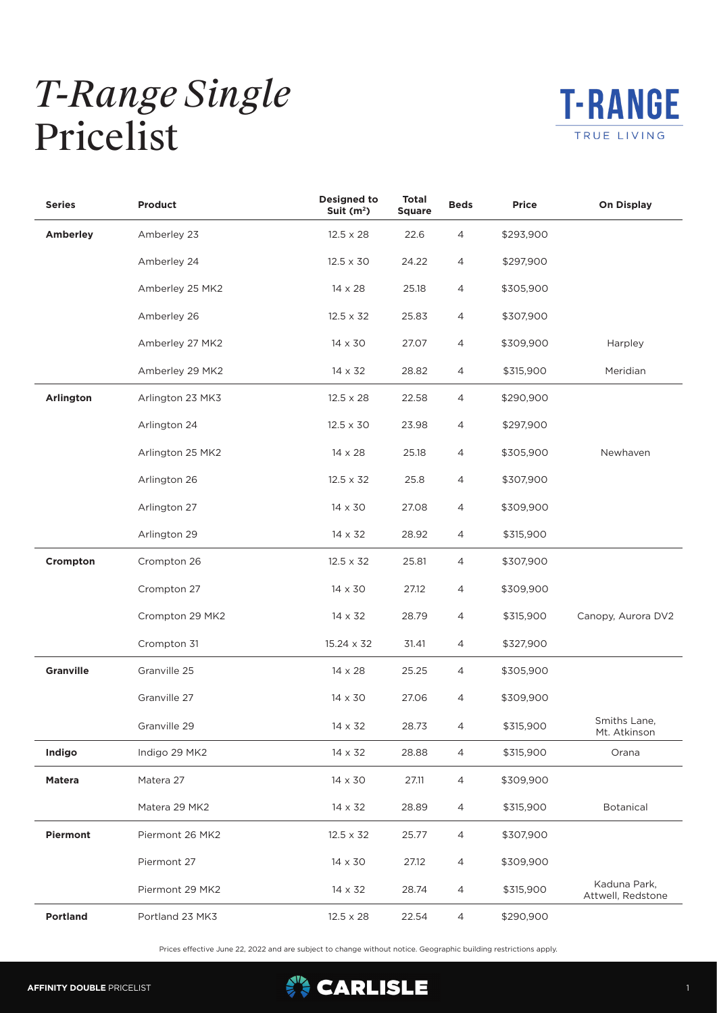## *T-Range Single* Pricelist



| <b>Series</b>   | Product          | <b>Designed to</b><br>Suit $(m2)$ | <b>Total</b><br><b>Square</b> | <b>Beds</b>    | <b>Price</b> | <b>On Display</b>                 |
|-----------------|------------------|-----------------------------------|-------------------------------|----------------|--------------|-----------------------------------|
| <b>Amberley</b> | Amberley 23      | $12.5 \times 28$                  | 22.6                          | 4              | \$293,900    |                                   |
|                 | Amberley 24      | $12.5 \times 30$                  | 24.22                         | 4              | \$297,900    |                                   |
|                 | Amberley 25 MK2  | $14 \times 28$                    | 25.18                         | 4              | \$305,900    |                                   |
|                 | Amberley 26      | $12.5 \times 32$                  | 25.83                         | 4              | \$307,900    |                                   |
|                 | Amberley 27 MK2  | $14 \times 30$                    | 27.07                         | 4              | \$309,900    | Harpley                           |
|                 | Amberley 29 MK2  | $14 \times 32$                    | 28.82                         | 4              | \$315,900    | Meridian                          |
| Arlington       | Arlington 23 MK3 | $12.5 \times 28$                  | 22.58                         | 4              | \$290,900    |                                   |
|                 | Arlington 24     | $12.5 \times 30$                  | 23.98                         | 4              | \$297,900    |                                   |
|                 | Arlington 25 MK2 | $14 \times 28$                    | 25.18                         | 4              | \$305,900    | Newhaven                          |
|                 | Arlington 26     | $12.5 \times 32$                  | 25.8                          | 4              | \$307,900    |                                   |
|                 | Arlington 27     | 14 x 30                           | 27.08                         | 4              | \$309,900    |                                   |
|                 | Arlington 29     | $14 \times 32$                    | 28.92                         | 4              | \$315,900    |                                   |
| Crompton        | Crompton 26      | $12.5 \times 32$                  | 25.81                         | 4              | \$307,900    |                                   |
|                 | Crompton 27      | 14 x 30                           | 27.12                         | 4              | \$309,900    |                                   |
|                 | Crompton 29 MK2  | $14 \times 32$                    | 28.79                         | 4              | \$315,900    | Canopy, Aurora DV2                |
|                 | Crompton 31      | 15.24 x 32                        | 31.41                         | 4              | \$327,900    |                                   |
| Granville       | Granville 25     | $14 \times 28$                    | 25.25                         | 4              | \$305,900    |                                   |
|                 | Granville 27     | 14 x 30                           | 27.06                         | 4              | \$309,900    |                                   |
|                 | Granville 29     | $14 \times 32$                    | 28.73                         | 4              | \$315,900    | Smiths Lane,<br>Mt. Atkinson      |
| Indigo          | Indigo 29 MK2    | $14 \times 32$                    | 28.88                         | 4              | \$315,900    | Orana                             |
| <b>Matera</b>   | Matera 27        | 14 x 30                           | 27.11                         | 4              | \$309,900    |                                   |
|                 | Matera 29 MK2    | 14 x 32                           | 28.89                         | $\overline{4}$ | \$315,900    | Botanical                         |
| Piermont        | Piermont 26 MK2  | $12.5 \times 32$                  | 25.77                         | 4              | \$307,900    |                                   |
|                 | Piermont 27      | $14 \times 30$                    | 27.12                         | 4              | \$309,900    |                                   |
|                 | Piermont 29 MK2  | $14 \times 32$                    | 28.74                         | 4              | \$315,900    | Kaduna Park,<br>Attwell, Redstone |
| Portland        | Portland 23 MK3  | $12.5 \times 28$                  | 22.54                         | $\overline{4}$ | \$290,900    |                                   |

Prices effective June 22, 2022 and are subject to change without notice. Geographic building restrictions apply.